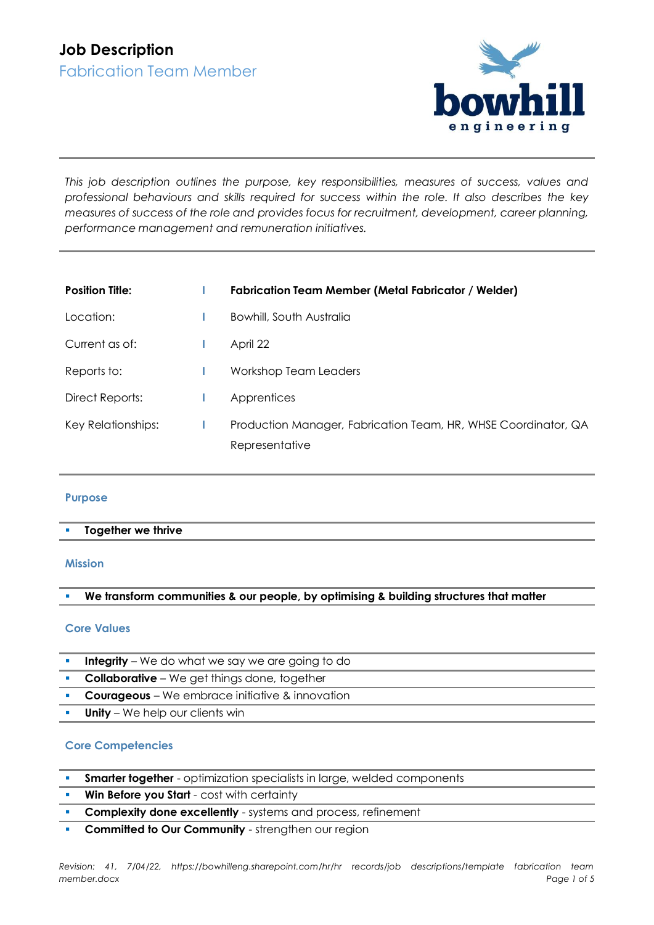

*This job description outlines the purpose, key responsibilities, measures of success, values and professional behaviours and skills required for success within the role. It also describes the key measures of success of the role and provides focus for recruitment, development, career planning, performance management and remuneration initiatives.*

| <b>Position Title:</b> | <b>Fabrication Team Member (Metal Fabricator / Welder)</b>                       |  |
|------------------------|----------------------------------------------------------------------------------|--|
| Location:              | Bowhill, South Australia                                                         |  |
| Current as of:         | April 22                                                                         |  |
| Reports to:            | Workshop Team Leaders                                                            |  |
| Direct Reports:        | Apprentices                                                                      |  |
| Key Relationships:     | Production Manager, Fabrication Team, HR, WHSE Coordinator, QA<br>Representative |  |

## **Purpose**

## **Together we thrive**

#### **Mission**

## We transform communities & our people, by optimising & building structures that matter

#### **Core Values**

- **Integrity** We do what we say we are going to do
- **Collaborative** We get things done, together
- **Courageous** We embrace initiative & innovation
- **Unity** We help our clients win

## **Core Competencies**

- **Smarter together** optimization specialists in large, welded components
- **Win Before you Start** cost with certainty
- **EXECOMPLEXITY done excellently** systems and process, refinement
- **Committed to Our Community** strengthen our region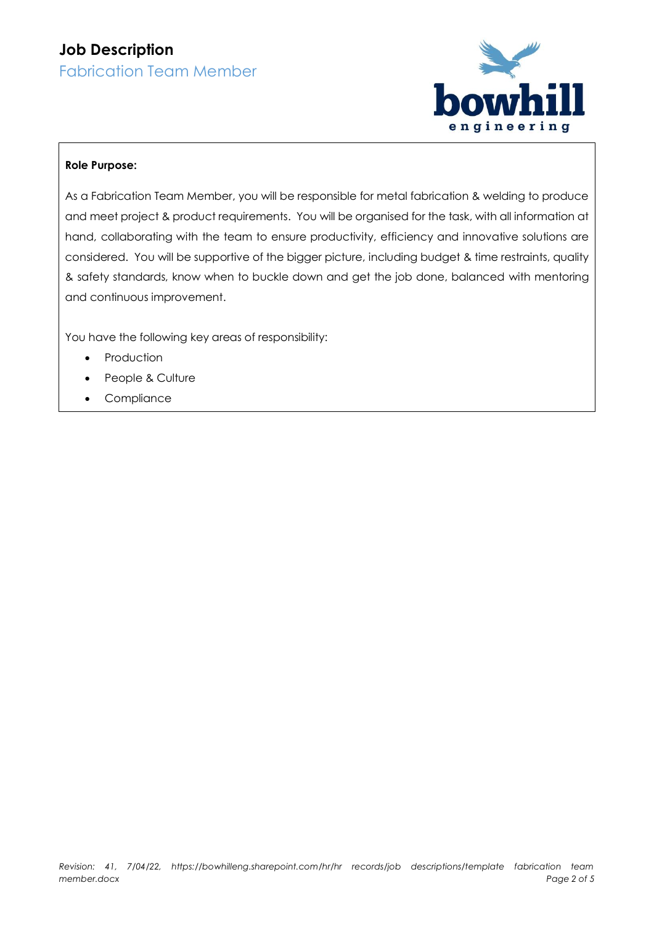# **Job Description** Fabrication Team Member



## **Role Purpose:**

As a Fabrication Team Member, you will be responsible for metal fabrication & welding to produce and meet project & product requirements. You will be organised for the task, with all information at hand, collaborating with the team to ensure productivity, efficiency and innovative solutions are considered. You will be supportive of the bigger picture, including budget & time restraints, quality & safety standards, know when to buckle down and get the job done, balanced with mentoring and continuous improvement.

You have the following key areas of responsibility:

- Production
- People & Culture
- Compliance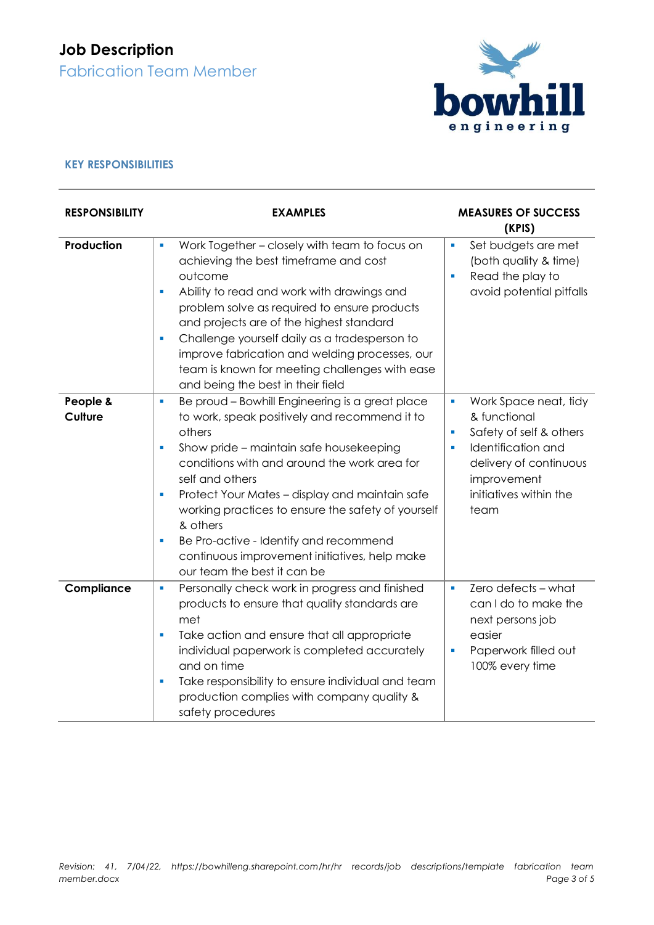# **Job Description** Fabrication Team Member

bowhill engineering

## **KEY RESPONSIBILITIES**

| <b>RESPONSIBILITY</b> | <b>EXAMPLES</b>                                                                                                                                                                                                                                                                                                                                                                                                                                                                                | <b>MEASURES OF SUCCESS</b><br>(KPIS)                                                                                                                                                                       |  |
|-----------------------|------------------------------------------------------------------------------------------------------------------------------------------------------------------------------------------------------------------------------------------------------------------------------------------------------------------------------------------------------------------------------------------------------------------------------------------------------------------------------------------------|------------------------------------------------------------------------------------------------------------------------------------------------------------------------------------------------------------|--|
| Production            | Work Together - closely with team to focus on<br>ú,<br>achieving the best timeframe and cost<br>outcome<br>Ability to read and work with drawings and<br>Ē,<br>problem solve as required to ensure products<br>and projects are of the highest standard<br>Challenge yourself daily as a tradesperson to<br>I.<br>improve fabrication and welding processes, our<br>team is known for meeting challenges with ease<br>and being the best in their field                                        | Set budgets are met<br>Ľ,<br>(both quality & time)<br>Read the play to<br>ш<br>avoid potential pitfalls                                                                                                    |  |
| People &<br>Culture   | Be proud - Bowhill Engineering is a great place<br>I.<br>to work, speak positively and recommend it to<br>others<br>Show pride - maintain safe housekeeping<br>Ľ,<br>conditions with and around the work area for<br>self and others<br>Protect Your Mates - display and maintain safe<br>I.<br>working practices to ensure the safety of yourself<br>& others<br>Be Pro-active - Identify and recommend<br>I.<br>continuous improvement initiatives, help make<br>our team the best it can be | Work Space neat, tidy<br>$\blacksquare$<br>& functional<br>Safety of self & others<br>$\blacksquare$<br>Identification and<br>ш<br>delivery of continuous<br>improvement<br>initiatives within the<br>team |  |
| Compliance            | Personally check work in progress and finished<br>ш<br>products to ensure that quality standards are<br>met<br>Take action and ensure that all appropriate<br>I.<br>individual paperwork is completed accurately<br>and on time<br>Take responsibility to ensure individual and team<br>Ľ,<br>production complies with company quality &<br>safety procedures                                                                                                                                  | Zero defects - what<br>$\blacksquare$<br>can I do to make the<br>next persons job<br>easier<br>Paperwork filled out<br>100% every time                                                                     |  |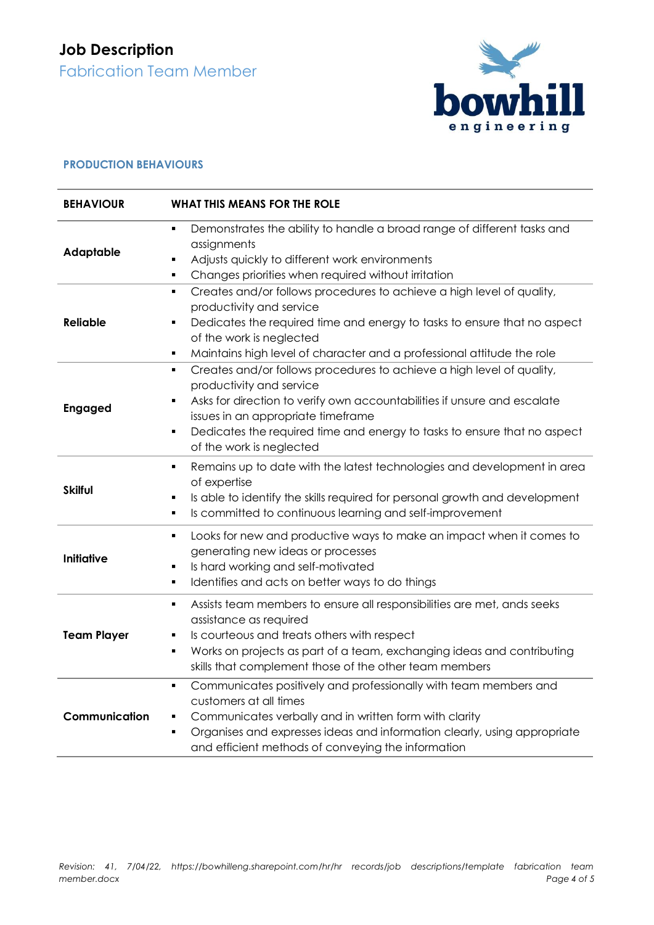# **Job Description** Fabrication Team Member



## **PRODUCTION BEHAVIOURS**

| <b>BEHAVIOUR</b>   | WHAT THIS MEANS FOR THE ROLE                                                                                                                                                                                                                                                                                                                            |  |  |  |  |
|--------------------|---------------------------------------------------------------------------------------------------------------------------------------------------------------------------------------------------------------------------------------------------------------------------------------------------------------------------------------------------------|--|--|--|--|
| <b>Adaptable</b>   | Demonstrates the ability to handle a broad range of different tasks and<br>$\blacksquare$<br>assignments<br>Adjusts quickly to different work environments<br>٠<br>Changes priorities when required without irritation<br>٠                                                                                                                             |  |  |  |  |
| <b>Reliable</b>    | Creates and/or follows procedures to achieve a high level of quality,<br>٠<br>productivity and service<br>Dedicates the required time and energy to tasks to ensure that no aspect<br>٠<br>of the work is neglected<br>Maintains high level of character and a professional attitude the role<br>٠                                                      |  |  |  |  |
| <b>Engaged</b>     | Creates and/or follows procedures to achieve a high level of quality,<br>٠<br>productivity and service<br>Asks for direction to verify own accountabilities if unsure and escalate<br>٠<br>issues in an appropriate timeframe<br>Dedicates the required time and energy to tasks to ensure that no aspect<br>$\blacksquare$<br>of the work is neglected |  |  |  |  |
| <b>Skilful</b>     | Remains up to date with the latest technologies and development in area<br>٠<br>of expertise<br>Is able to identify the skills required for personal growth and development<br>٠<br>Is committed to continuous learning and self-improvement<br>$\blacksquare$                                                                                          |  |  |  |  |
| <b>Initiative</b>  | Looks for new and productive ways to make an impact when it comes to<br>٠<br>generating new ideas or processes<br>Is hard working and self-motivated<br>٠<br>Identifies and acts on better ways to do things<br>٠                                                                                                                                       |  |  |  |  |
| <b>Team Player</b> | Assists team members to ensure all responsibilities are met, ands seeks<br>٠<br>assistance as required<br>Is courteous and treats others with respect<br>Ξ<br>Works on projects as part of a team, exchanging ideas and contributing<br>٠<br>skills that complement those of the other team members                                                     |  |  |  |  |
| Communication      | Communicates positively and professionally with team members and<br>$\blacksquare$<br>customers at all times<br>Communicates verbally and in written form with clarity<br>٠<br>Organises and expresses ideas and information clearly, using appropriate<br>٠<br>and efficient methods of conveying the information                                      |  |  |  |  |